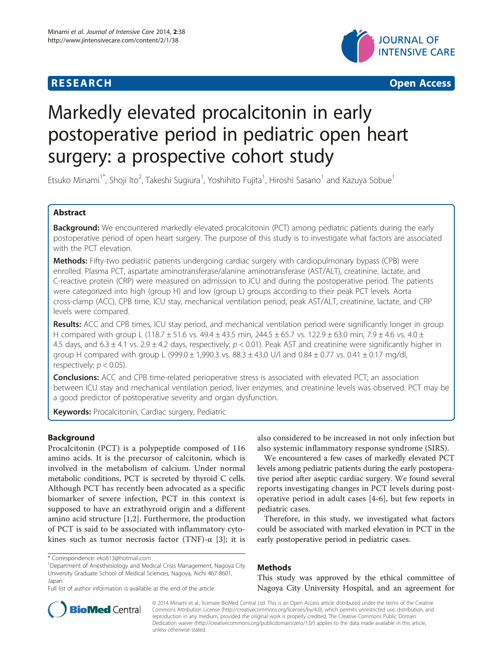

**RESEARCH CHEAR CHEAR CHEAR CHEAR CHEAR CHEAR CHEAR CHEAR CHEAR CHEAR CHEAR CHEAR CHEAR CHEAR CHEAR CHEAR CHEAR** 

# Markedly elevated procalcitonin in early postoperative period in pediatric open heart surgery: a prospective cohort study

Etsuko Minami<sup>1\*</sup>, Shoji Ito<sup>2</sup>, Takeshi Sugiura<sup>1</sup>, Yoshihito Fujita<sup>1</sup>, Hiroshi Sasano<sup>1</sup> and Kazuya Sobue<sup>1</sup>

# Abstract

Background: We encountered markedly elevated procalcitonin (PCT) among pediatric patients during the early postoperative period of open heart surgery. The purpose of this study is to investigate what factors are associated with the PCT elevation.

Methods: Fifty-two pediatric patients undergoing cardiac surgery with cardiopulmonary bypass (CPB) were enrolled. Plasma PCT, aspartate aminotransferase/alanine aminotransferase (AST/ALT), creatinine, lactate, and C-reactive protein (CRP) were measured on admission to ICU and during the postoperative period. The patients were categorized into high (group H) and low (group L) groups according to their peak PCT levels. Aorta cross-clamp (ACC), CPB time, ICU stay, mechanical ventilation period, peak AST/ALT, creatinine, lactate, and CRP levels were compared.

Results: ACC and CPB times, ICU stay period, and mechanical ventilation period were significantly longer in group H compared with group L (118.7 ± 51.6 vs. 49.4 ± 43.5 min, 244.5 ± 65.7 vs. 122.9 ± 63.0 min, 7.9 ± 4.6 vs. 4.0 ± 4.5 days, and  $6.3 \pm 4.1$  vs.  $2.9 \pm 4.2$  days, respectively;  $p < 0.01$ ). Peak AST and creatinine were significantly higher in group H compared with group L (999.0  $\pm$  1,990.3 vs. 88.3  $\pm$  43.0 U/l and 0.84  $\pm$  0.77 vs. 0.41  $\pm$  0.17 mg/dl, respectively;  $p < 0.05$ ).

**Conclusions:** ACC and CPB time-related perioperative stress is associated with elevated PCT; an association between ICU stay and mechanical ventilation period, liver enzymes, and creatinine levels was observed. PCT may be a good predictor of postoperative severity and organ dysfunction.

Keywords: Procalcitonin, Cardiac surgery, Pediatric

# Background

Procalcitonin (PCT) is a polypeptide composed of 116 amino acids. It is the precursor of calcitonin, which is involved in the metabolism of calcium. Under normal metabolic conditions, PCT is secreted by thyroid C cells. Although PCT has recently been advocated as a specific biomarker of severe infection, PCT in this context is supposed to have an extrathyroid origin and a different amino acid structure [\[1](#page-3-0),[2\]](#page-3-0). Furthermore, the production of PCT is said to be associated with inflammatory cytokines such as tumor necrosis factor (TNF)- $\alpha$  [[3](#page-3-0)]; it is

Department of Anesthesiology and Medical Crisis Management, Nagoya City University Graduate School of Medical Sciences, Nagoya, Aichi 467-8601, Japan

also considered to be increased in not only infection but also systemic inflammatory response syndrome (SIRS).

We encountered a few cases of markedly elevated PCT levels among pediatric patients during the early postoperative period after aseptic cardiac surgery. We found several reports investigating changes in PCT levels during postoperative period in adult cases [[4](#page-3-0)-[6\]](#page-3-0), but few reports in pediatric cases.

Therefore, in this study, we investigated what factors could be associated with marked elevation in PCT in the early postoperative period in pediatric cases.

# Methods

This study was approved by the ethical committee of Nagoya City University Hospital, and an agreement for



© 2014 Minami et al.; licensee BioMed Central Ltd. This is an Open Access article distributed under the terms of the Creative Commons Attribution License [\(http://creativecommons.org/licenses/by/4.0\)](http://creativecommons.org/licenses/by/4.0), which permits unrestricted use, distribution, and reproduction in any medium, provided the original work is properly credited. The Creative Commons Public Domain Dedication waiver [\(http://creativecommons.org/publicdomain/zero/1.0/](http://creativecommons.org/publicdomain/zero/1.0/)) applies to the data made available in this article, unless otherwise stated.

<sup>\*</sup> Correspondence: [eko813@hotmail.com](mailto:eko813@hotmail.com) <sup>1</sup>

Full list of author information is available at the end of the article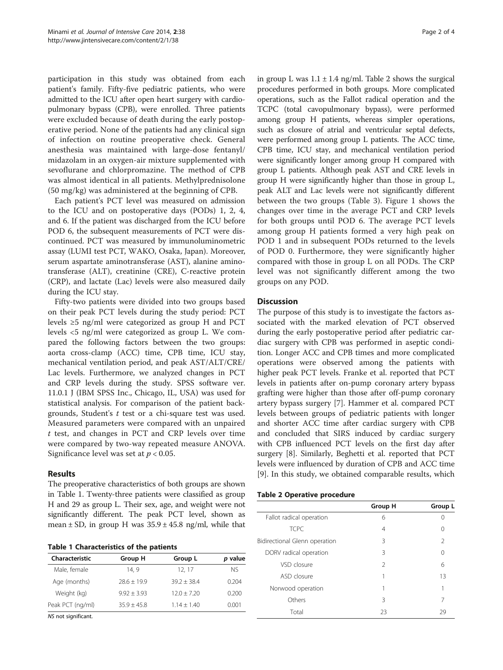participation in this study was obtained from each patient's family. Fifty-five pediatric patients, who were admitted to the ICU after open heart surgery with cardiopulmonary bypass (CPB), were enrolled. Three patients were excluded because of death during the early postoperative period. None of the patients had any clinical sign of infection on routine preoperative check. General anesthesia was maintained with large-dose fentanyl/ midazolam in an oxygen-air mixture supplemented with sevoflurane and chlorpromazine. The method of CPB was almost identical in all patients. Methylprednisolone (50 mg/kg) was administered at the beginning of CPB.

Each patient's PCT level was measured on admission to the ICU and on postoperative days (PODs) 1, 2, 4, and 6. If the patient was discharged from the ICU before POD 6, the subsequent measurements of PCT were discontinued. PCT was measured by immunoluminometric assay (LUMI test PCT, WAKO, Osaka, Japan). Moreover, serum aspartate aminotransferase (AST), alanine aminotransferase (ALT), creatinine (CRE), C-reactive protein (CRP), and lactate (Lac) levels were also measured daily during the ICU stay.

Fifty-two patients were divided into two groups based on their peak PCT levels during the study period: PCT levels ≥5 ng/ml were categorized as group H and PCT levels <5 ng/ml were categorized as group L. We compared the following factors between the two groups: aorta cross-clamp (ACC) time, CPB time, ICU stay, mechanical ventilation period, and peak AST/ALT/CRE/ Lac levels. Furthermore, we analyzed changes in PCT and CRP levels during the study. SPSS software ver. 11.0.1 J (IBM SPSS Inc., Chicago, IL, USA) was used for statistical analysis. For comparison of the patient backgrounds, Student's t test or a chi-square test was used. Measured parameters were compared with an unpaired t test, and changes in PCT and CRP levels over time were compared by two-way repeated measure ANOVA. Significance level was set at  $p < 0.05$ .

# Results

The preoperative characteristics of both groups are shown in Table 1. Twenty-three patients were classified as group H and 29 as group L. Their sex, age, and weight were not significantly different. The peak PCT level, shown as mean  $\pm$  SD, in group H was  $35.9 \pm 45.8$  ng/ml, while that

Table 1 Characteristics of the patients

| Characteristic                                                                                                                                                                       | Group H       | Group L       | p value |
|--------------------------------------------------------------------------------------------------------------------------------------------------------------------------------------|---------------|---------------|---------|
| Male, female                                                                                                                                                                         | 14.9          | 12.17         | NS.     |
| Age (months)                                                                                                                                                                         | $78.6 + 19.9$ | $39.2 + 38.4$ | 0.204   |
| Weight (kg)                                                                                                                                                                          | $9.97 + 3.93$ | $12.0 + 7.20$ | 0.200   |
| Peak PCT (ng/ml)                                                                                                                                                                     | $35.9 + 45.8$ | $1.14 + 1.40$ | 0.001   |
| $\mathbf{A} \mathbf{B}$ $\mathbf{C}$ $\mathbf{A} \mathbf{C}$ $\mathbf{A} \mathbf{C}$ $\mathbf{A} \mathbf{C}$ $\mathbf{A} \mathbf{C}$ $\mathbf{A} \mathbf{C}$ $\mathbf{A} \mathbf{C}$ |               |               |         |

NS not significant.

in group L was  $1.1 \pm 1.4$  ng/ml. Table 2 shows the surgical procedures performed in both groups. More complicated operations, such as the Fallot radical operation and the TCPC (total cavopulmonary bypass), were performed among group H patients, whereas simpler operations, such as closure of atrial and ventricular septal defects, were performed among group L patients. The ACC time, CPB time, ICU stay, and mechanical ventilation period were significantly longer among group H compared with group L patients. Although peak AST and CRE levels in group H were significantly higher than those in group L, peak ALT and Lac levels were not significantly different between the two groups (Table [3](#page-2-0)). Figure [1](#page-2-0) shows the changes over time in the average PCT and CRP levels for both groups until POD 6. The average PCT levels among group H patients formed a very high peak on POD 1 and in subsequent PODs returned to the levels of POD 0. Furthermore, they were significantly higher compared with those in group L on all PODs. The CRP level was not significantly different among the two groups on any POD.

# **Discussion**

The purpose of this study is to investigate the factors associated with the marked elevation of PCT observed during the early postoperative period after pediatric cardiac surgery with CPB was performed in aseptic condition. Longer ACC and CPB times and more complicated operations were observed among the patients with higher peak PCT levels. Franke et al. reported that PCT levels in patients after on-pump coronary artery bypass grafting were higher than those after off-pump coronary artery bypass surgery [[7\]](#page-3-0). Hammer et al. compared PCT levels between groups of pediatric patients with longer and shorter ACC time after cardiac surgery with CPB and concluded that SIRS induced by cardiac surgery with CPB influenced PCT levels on the first day after surgery [[8\]](#page-3-0). Similarly, Beghetti et al. reported that PCT levels were influenced by duration of CPB and ACC time [[9\]](#page-3-0). In this study, we obtained comparable results, which

#### Table 2 Operative procedure

|                               | Group H | Group L        |
|-------------------------------|---------|----------------|
| Fallot radical operation      | 6       | Ω              |
| <b>TCPC</b>                   | 4       | 0              |
| Bidirectional Glenn operation | 3       | $\mathfrak{D}$ |
| DORV radical operation        | 3       | 0              |
| VSD closure                   | 2       | 6              |
| ASD closure                   |         | 13             |
| Norwood operation             |         | 1              |
| Others                        | 3       | 7              |
| Total                         | 23      | 29             |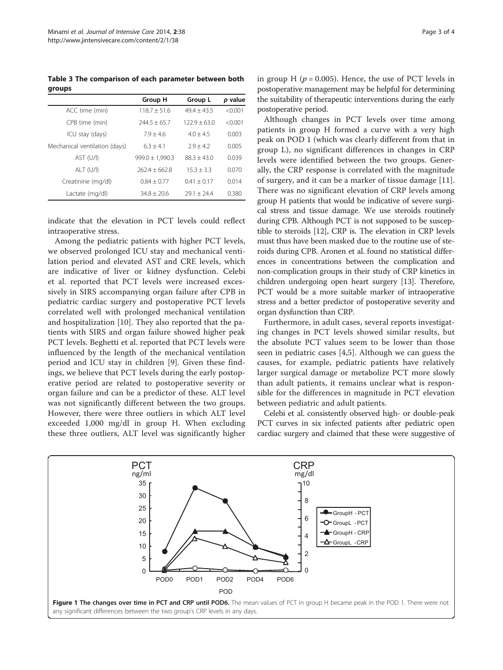<span id="page-2-0"></span>Table 3 The comparison of each parameter between both groups

|                               | Group H             | Group L        | p value |
|-------------------------------|---------------------|----------------|---------|
| ACC time (min)                | $118.7 + 51.6$      | $49.4 + 43.5$  | < 0.001 |
| CPB time (min)                | $744.5 + 65.7$      | $122.9 + 63.0$ | < 0.001 |
| ICU stay (days)               | $7.9 + 4.6$         | $4.0 + 4.5$    | 0.003   |
| Mechanical ventilation (days) | $6.3 + 4.1$         | $7.9 + 4.7$    | 0.005   |
| AST (U/I)                     | $999.0 \pm 1.990.3$ | $88.3 + 43.0$  | 0.039   |
| $ALT$ (U/I)                   | $2624 + 6628$       | $15.3 + 3.3$   | 0.070   |
| Creatinine (mg/dl)            | $0.84 + 0.77$       | $0.41 + 0.17$  | 0.014   |
| Lactate (mg/dl)               | $34.8 + 20.6$       | $79.1 + 74.4$  | 0.380   |

indicate that the elevation in PCT levels could reflect intraoperative stress.

Among the pediatric patients with higher PCT levels, we observed prolonged ICU stay and mechanical ventilation period and elevated AST and CRE levels, which are indicative of liver or kidney dysfunction. Celebi et al. reported that PCT levels were increased excessively in SIRS accompanying organ failure after CPB in pediatric cardiac surgery and postoperative PCT levels correlated well with prolonged mechanical ventilation and hospitalization [\[10](#page-3-0)]. They also reported that the patients with SIRS and organ failure showed higher peak PCT levels. Beghetti et al. reported that PCT levels were influenced by the length of the mechanical ventilation period and ICU stay in children [[9\]](#page-3-0). Given these findings, we believe that PCT levels during the early postoperative period are related to postoperative severity or organ failure and can be a predictor of these. ALT level was not significantly different between the two groups. However, there were three outliers in which ALT level exceeded 1,000 mg/dl in group H. When excluding these three outliers, ALT level was significantly higher in group H ( $p = 0.005$ ). Hence, the use of PCT levels in postoperative management may be helpful for determining the suitability of therapeutic interventions during the early postoperative period.

Although changes in PCT levels over time among patients in group H formed a curve with a very high peak on POD 1 (which was clearly different from that in group L), no significant differences in changes in CRP levels were identified between the two groups. Generally, the CRP response is correlated with the magnitude of surgery, and it can be a marker of tissue damage [\[11](#page-3-0)]. There was no significant elevation of CRP levels among group H patients that would be indicative of severe surgical stress and tissue damage. We use steroids routinely during CPB. Although PCT is not supposed to be susceptible to steroids [\[12](#page-3-0)], CRP is. The elevation in CRP levels must thus have been masked due to the routine use of steroids during CPB. Aronen et al. found no statistical differences in concentrations between the complication and non-complication groups in their study of CRP kinetics in children undergoing open heart surgery [[13\]](#page-3-0). Therefore, PCT would be a more suitable marker of intraoperative stress and a better predictor of postoperative severity and organ dysfunction than CRP.

Furthermore, in adult cases, several reports investigating changes in PCT levels showed similar results, but the absolute PCT values seem to be lower than those seen in pediatric cases [[4,5\]](#page-3-0). Although we can guess the causes, for example, pediatric patients have relatively larger surgical damage or metabolize PCT more slowly than adult patients, it remains unclear what is responsible for the differences in magnitude in PCT elevation between pediatric and adult patients.

Celebi et al. consistently observed high- or double-peak PCT curves in six infected patients after pediatric open cardiac surgery and claimed that these were suggestive of